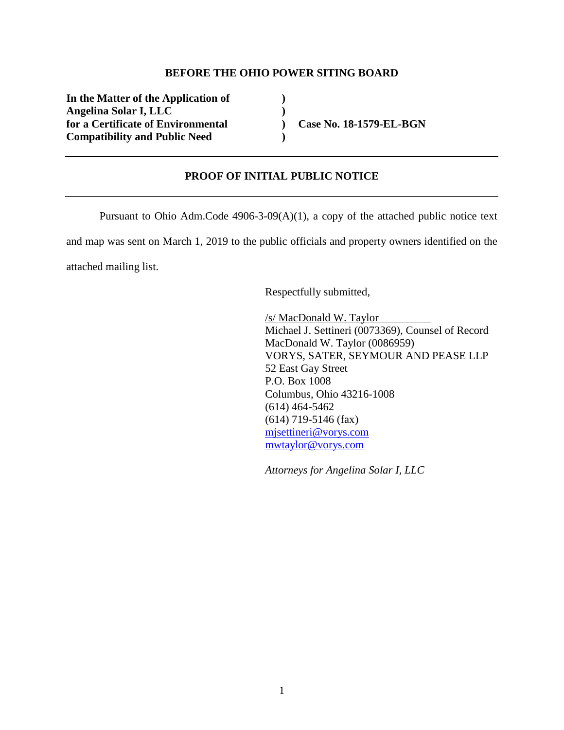## **BEFORE THE OHIO POWER SITING BOARD**

**In the Matter of the Application of ) Angelina Solar I, LLC )**  for a Certificate of Environmental **Case No. 18-1579-EL-BGN Compatibility and Public Need )** 

## **PROOF OF INITIAL PUBLIC NOTICE**

Pursuant to Ohio Adm.Code 4906-3-09(A)(1), a copy of the attached public notice text and map was sent on March 1, 2019 to the public officials and property owners identified on the attached mailing list.

Respectfully submitted,

/s/ MacDonald W. Taylor Michael J. Settineri (0073369), Counsel of Record MacDonald W. Taylor (0086959) VORYS, SATER, SEYMOUR AND PEASE LLP 52 East Gay Street P.O. Box 1008 Columbus, Ohio 43216-1008 (614) 464-5462 (614) 719-5146 (fax) mjsettineri@vorys.com mwtaylor@vorys.com

*Attorneys for Angelina Solar I, LLC*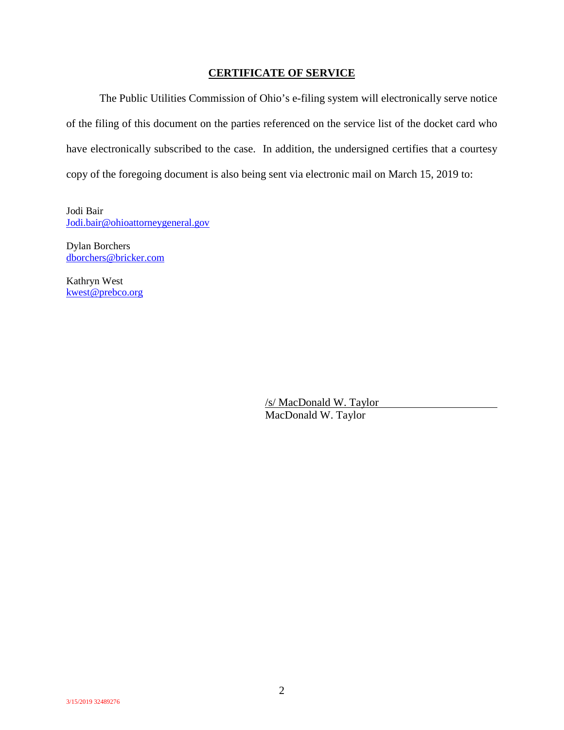## **CERTIFICATE OF SERVICE**

The Public Utilities Commission of Ohio's e-filing system will electronically serve notice of the filing of this document on the parties referenced on the service list of the docket card who have electronically subscribed to the case. In addition, the undersigned certifies that a courtesy copy of the foregoing document is also being sent via electronic mail on March 15, 2019 to:

Jodi Bair Jodi.bair@ohioattorneygeneral.gov

Dylan Borchers dborchers@bricker.com

Kathryn West kwest@prebco.org

> /s/ MacDonald W. Taylor MacDonald W. Taylor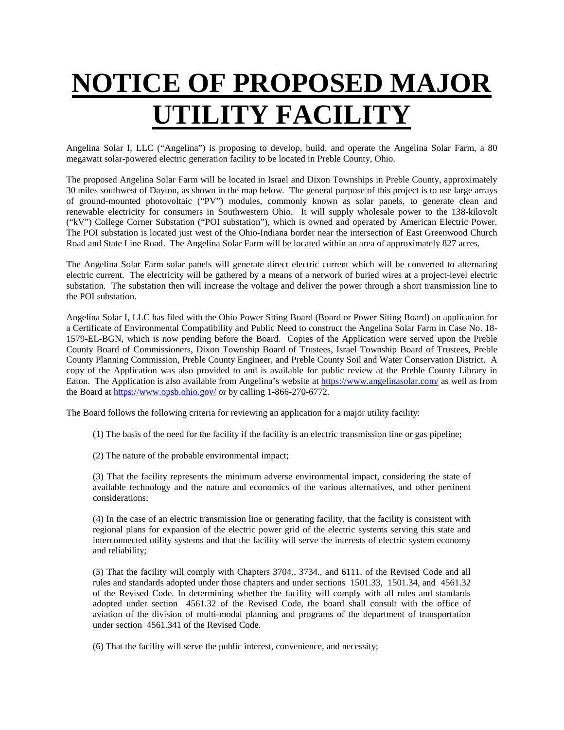## **NOTICE OF PROPOSED MAJOR UTILITY FACILITY**

Angelina Solar I, LLC ("Angelina") is proposing to develop, build, and operate the Angelina Solar Farm, a 80 megawatt solar-powered electric generation facility to be located in Preble County, Ohio.

The proposed Angelina Solar Farm will be located in Israel and Dixon Townships in Preble County, approximately 30 miles southwest of Dayton, as shown in the map below. The general purpose of this project is to use large arrays of ground-mounted photovoltaic ("PV") modules, commonly known as solar panels, to generate clean and renewable electricity for consumers in Southwestern Ohio. It will supply wholesale power to the 138-kilovolt ("kV") College Corner Substation ("POI substation"), which is owned and operated by American Electric Power. The POI substation is located just west of the Ohio-Indiana border near the intersection of East Greenwood Church Road and State Line Road. The Angelina Solar Farm will be located within an area of approximately 827 acres.

The Angelina Solar Farm solar panels will generate direct electric current which will be converted to alternating electric current. The electricity will be gathered by a means of a network of buried wires at a project-level electric substation. The substation then will increase the voltage and deliver the power through a short transmission line to the POI substation.

Angelina Solar I, LLC has filed with the Ohio Power Siting Board (Board or Power Siting Board) an application for a Certificate of Environmental Compatibility and Public Need to construct the Angelina Solar Farm in Case No. 18- 1579-EL-BGN, which is now pending before the Board. Copies of the Application were served upon the Preble County Board of Commissioners, Dixon Township Board of Trustees, Israel Township Board of Trustees, Preble County Planning Commission, Preble County Engineer, and Preble County Soil and Water Conservation District. A copy of the Application was also provided to and is available for public review at the Preble County Library in Eaton. The Application is also available from Angelina's website at https://www.angelinasolar.com/ as well as from the Board at https://www.opsb.ohio.gov/ or by calling 1-866-270-6772.

The Board follows the following criteria for reviewing an application for a major utility facility:

- (1) The basis of the need for the facility if the facility is an electric transmission line or gas pipeline;
- (2) The nature of the probable environmental impact;

(3) That the facility represents the minimum adverse environmental impact, considering the state of available technology and the nature and economics of the various alternatives, and other pertinent considerations;

(4) In the case of an electric transmission line or generating facility, that the facility is consistent with regional plans for expansion of the electric power grid of the electric systems serving this state and interconnected utility systems and that the facility will serve the interests of electric system economy and reliability;

(5) That the facility will comply with Chapters 3704., 3734., and 6111. of the Revised Code and all rules and standards adopted under those chapters and under sections 1501.33, 1501.34, and 4561.32 of the Revised Code. In determining whether the facility will comply with all rules and standards adopted under section 4561.32 of the Revised Code, the board shall consult with the office of aviation of the division of multi-modal planning and programs of the department of transportation under section 4561.341 of the Revised Code.

(6) That the facility will serve the public interest, convenience, and necessity;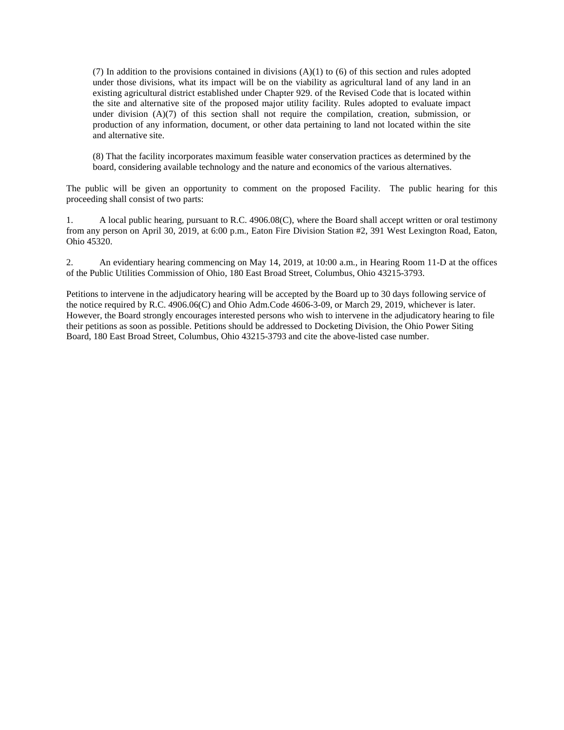(7) In addition to the provisions contained in divisions (A)(1) to (6) of this section and rules adopted under those divisions, what its impact will be on the viability as agricultural land of any land in an existing agricultural district established under Chapter 929. of the Revised Code that is located within the site and alternative site of the proposed major utility facility. Rules adopted to evaluate impact under division (A)(7) of this section shall not require the compilation, creation, submission, or production of any information, document, or other data pertaining to land not located within the site and alternative site.

(8) That the facility incorporates maximum feasible water conservation practices as determined by the board, considering available technology and the nature and economics of the various alternatives.

The public will be given an opportunity to comment on the proposed Facility. The public hearing for this proceeding shall consist of two parts:

1. A local public hearing, pursuant to R.C. 4906.08(C), where the Board shall accept written or oral testimony from any person on April 30, 2019, at 6:00 p.m., Eaton Fire Division Station #2, 391 West Lexington Road, Eaton, Ohio 45320.

2. An evidentiary hearing commencing on May 14, 2019, at 10:00 a.m., in Hearing Room 11-D at the offices of the Public Utilities Commission of Ohio, 180 East Broad Street, Columbus, Ohio 43215-3793.

Petitions to intervene in the adjudicatory hearing will be accepted by the Board up to 30 days following service of the notice required by R.C. 4906.06(C) and Ohio Adm.Code 4606-3-09, or March 29, 2019, whichever is later. However, the Board strongly encourages interested persons who wish to intervene in the adjudicatory hearing to file their petitions as soon as possible. Petitions should be addressed to Docketing Division, the Ohio Power Siting Board, 180 East Broad Street, Columbus, Ohio 43215-3793 and cite the above-listed case number.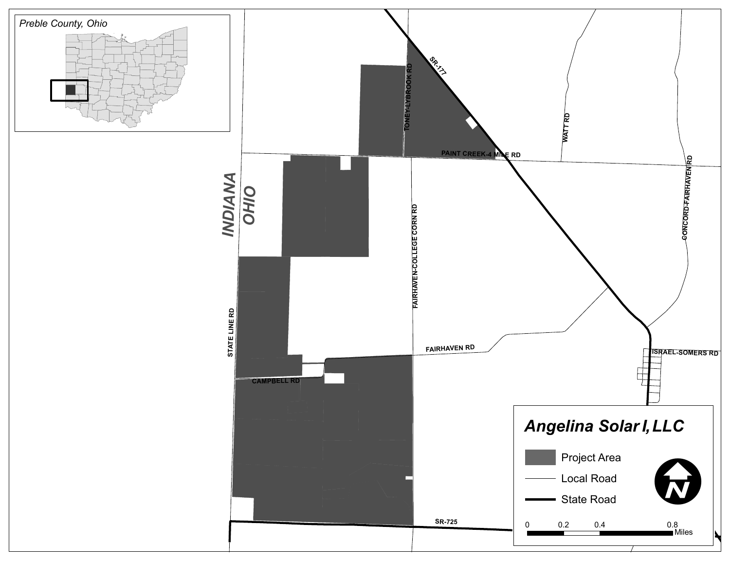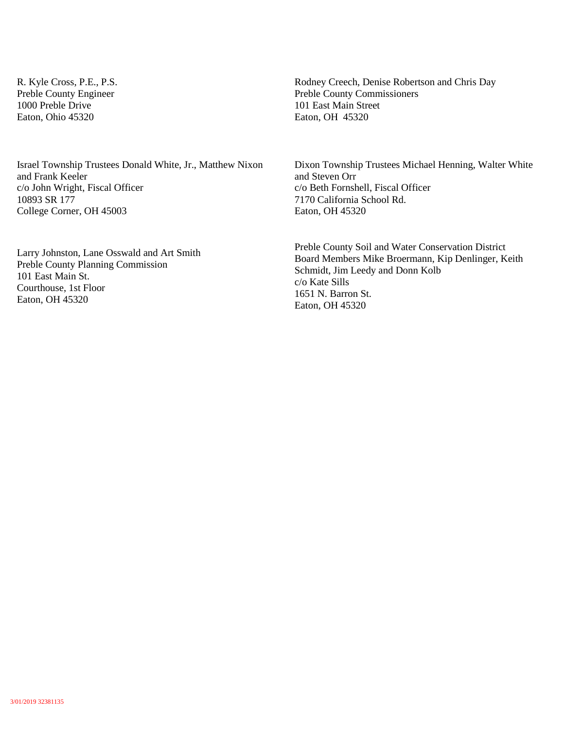R. Kyle Cross, P.E., P.S. Preble County Engineer 1000 Preble Drive Eaton, Ohio 45320

Israel Township Trustees Donald White, Jr., Matthew Nixon and Frank Keeler c/o John Wright, Fiscal Officer 10893 SR 177 College Corner, OH 45003

Larry Johnston, Lane Osswald and Art Smith Preble County Planning Commission 101 East Main St. Courthouse, 1st Floor Eaton, OH 45320

Rodney Creech, Denise Robertson and Chris Day Preble County Commissioners 101 East Main Street Eaton, OH 45320

Dixon Township Trustees Michael Henning, Walter White and Steven Orr c/o Beth Fornshell, Fiscal Officer 7170 California School Rd. Eaton, OH 45320

Preble County Soil and Water Conservation District Board Members Mike Broermann, Kip Denlinger, Keith Schmidt, Jim Leedy and Donn Kolb c/o Kate Sills 1651 N. Barron St. Eaton, OH 45320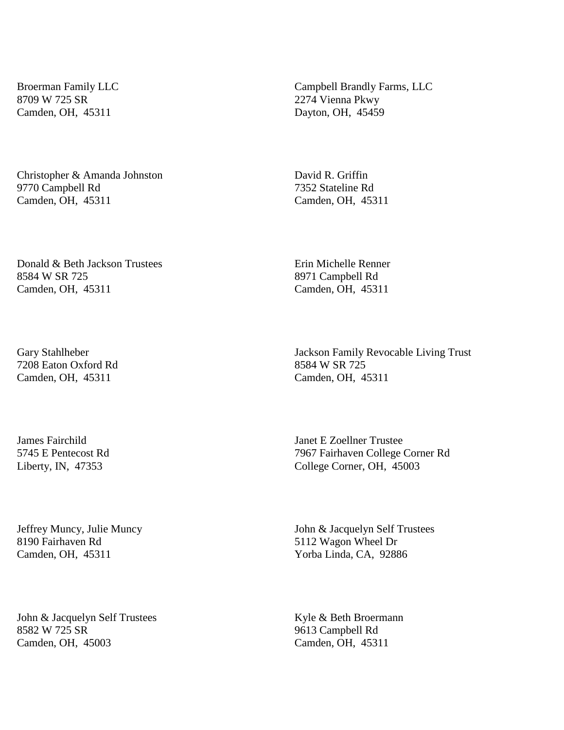Broerman Family LLC 8709 W 725 SR Camden, OH, 45311

Christopher & Amanda Johnston 9770 Campbell Rd Camden, OH, 45311

Donald & Beth Jackson Trustees 8584 W SR 725 Camden, OH, 45311

Gary Stahlheber 7208 Eaton Oxford Rd Camden, OH, 45311

James Fairchild 5745 E Pentecost Rd Liberty, IN, 47353

Jeffrey Muncy, Julie Muncy 8190 Fairhaven Rd Camden, OH, 45311

John & Jacquelyn Self Trustees 8582 W 725 SR Camden, OH, 45003

Campbell Brandly Farms, LLC 2274 Vienna Pkwy Dayton, OH, 45459

David R. Griffin 7352 Stateline Rd Camden, OH, 45311

Erin Michelle Renner 8971 Campbell Rd Camden, OH, 45311

Jackson Family Revocable Living Trust 8584 W SR 725 Camden, OH, 45311

Janet E Zoellner Trustee 7967 Fairhaven College Corner Rd College Corner, OH, 45003

John & Jacquelyn Self Trustees 5112 Wagon Wheel Dr Yorba Linda, CA, 92886

Kyle & Beth Broermann 9613 Campbell Rd Camden, OH, 45311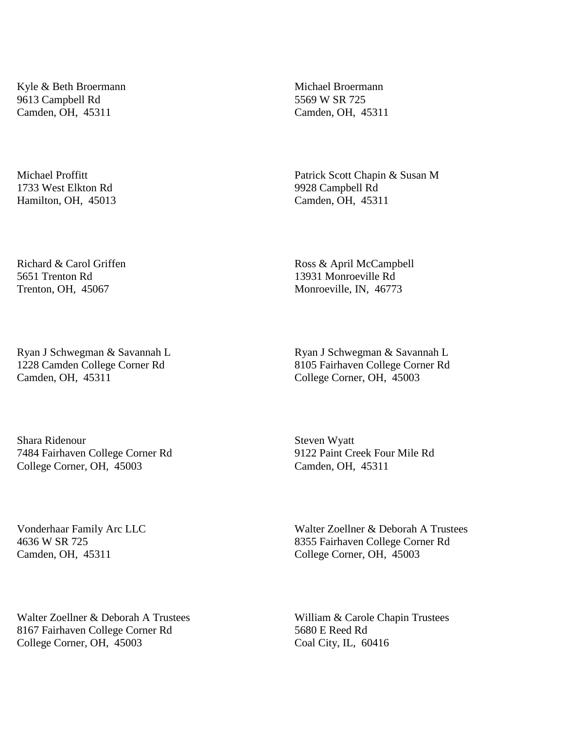Kyle & Beth Broermann 9613 Campbell Rd Camden, OH, 45311

Michael Proffitt 1733 West Elkton Rd Hamilton, OH, 45013

Richard & Carol Griffen 5651 Trenton Rd Trenton, OH, 45067

Ryan J Schwegman & Savannah L 1228 Camden College Corner Rd Camden, OH, 45311

Shara Ridenour 7484 Fairhaven College Corner Rd College Corner, OH, 45003

Michael Broermann 5569 W SR 725 Camden, OH, 45311

Patrick Scott Chapin & Susan M 9928 Campbell Rd Camden, OH, 45311

Ross & April McCampbell 13931 Monroeville Rd Monroeville, IN, 46773

Ryan J Schwegman & Savannah L 8105 Fairhaven College Corner Rd College Corner, OH, 45003

Steven Wyatt 9122 Paint Creek Four Mile Rd Camden, OH, 45311

Vonderhaar Family Arc LLC 4636 W SR 725 Camden, OH, 45311

Walter Zoellner & Deborah A Trustees 8355 Fairhaven College Corner Rd College Corner, OH, 45003

Walter Zoellner & Deborah A Trustees 8167 Fairhaven College Corner Rd College Corner, OH, 45003

William & Carole Chapin Trustees 5680 E Reed Rd Coal City, IL, 60416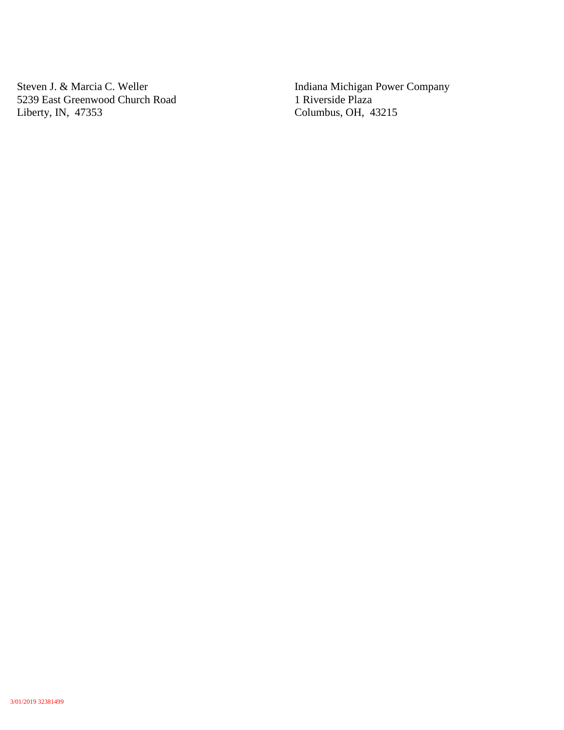Steven J. & Marcia C. Weller 5239 East Greenwood Church Road Liberty, IN, 47353

Indiana Michigan Power Company 1 Riverside Plaza Columbus, OH, 43215